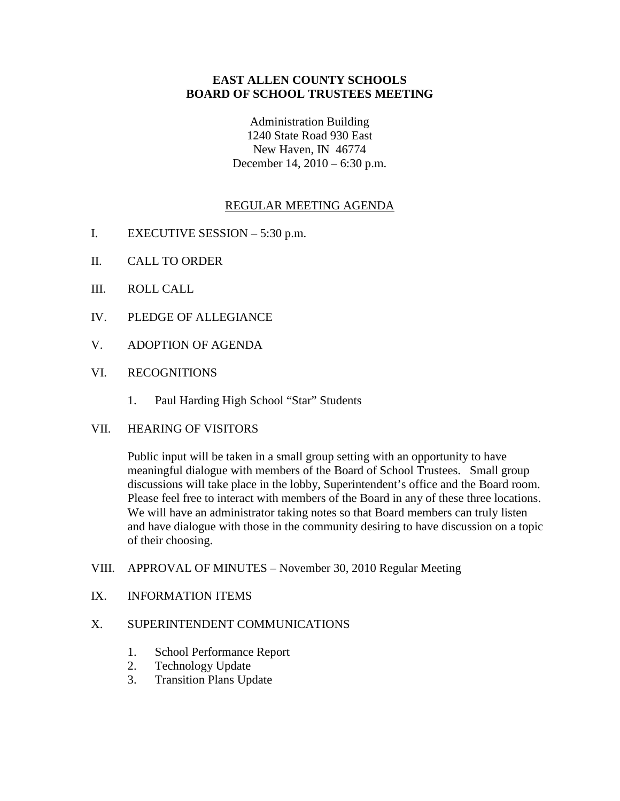## **EAST ALLEN COUNTY SCHOOLS BOARD OF SCHOOL TRUSTEES MEETING**

Administration Building 1240 State Road 930 East New Haven, IN 46774 December 14, 2010 – 6:30 p.m.

# REGULAR MEETING AGENDA

- I. EXECUTIVE SESSION 5:30 p.m.
- II. CALL TO ORDER
- III. ROLL CALL
- IV. PLEDGE OF ALLEGIANCE
- V. ADOPTION OF AGENDA
- VI. RECOGNITIONS
	- 1. Paul Harding High School "Star" Students
- VII. HEARING OF VISITORS

Public input will be taken in a small group setting with an opportunity to have meaningful dialogue with members of the Board of School Trustees. Small group discussions will take place in the lobby, Superintendent's office and the Board room. Please feel free to interact with members of the Board in any of these three locations. We will have an administrator taking notes so that Board members can truly listen and have dialogue with those in the community desiring to have discussion on a topic of their choosing.

- VIII. APPROVAL OF MINUTES November 30, 2010 Regular Meeting
- IX. INFORMATION ITEMS

## X. SUPERINTENDENT COMMUNICATIONS

- 1. School Performance Report
- 2. Technology Update
- 3. Transition Plans Update